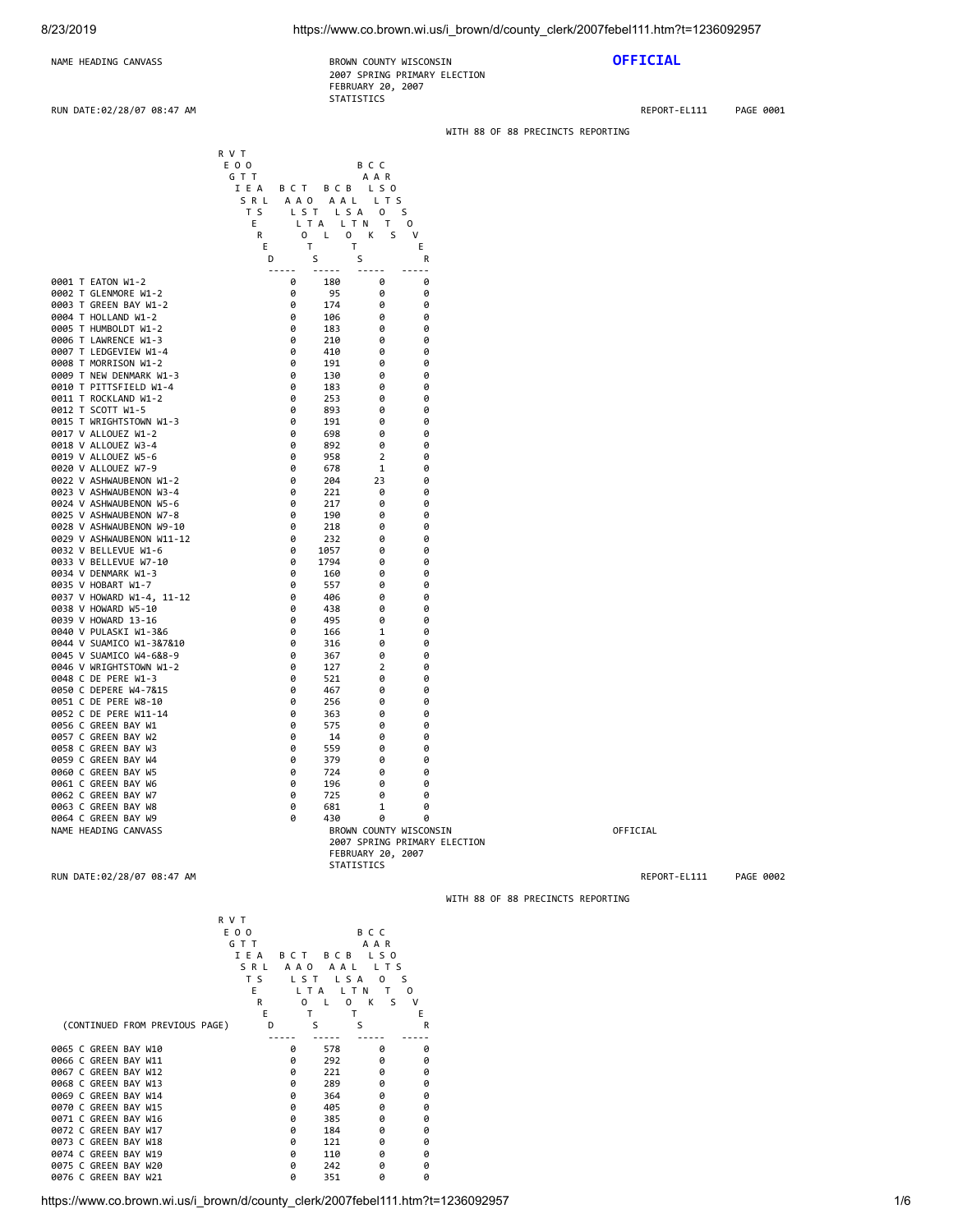# 8/23/2019 https://www.co.brown.wi.us/i\_brown/d/county\_clerk/2007febel111.htm?t=1236092957

WITH 88 OF 88 PRECINCTS REPORTING

# NAME HEADING CANVASS **BROWN COUNTY WISCONSIN OFFICIAL** 2007 SPRING PRIMARY ELECTION FEBRUARY 20, 2007 STATISTICS

RUN DATE:02/28/07 08:47 AM REPORT-EL111 PAGE 0001

| R V T                                                                                                                                                                                                                                                                                                                                                                                                                                                                                                                                                                                                                                                                                                                                                                                                                                                                                                                        | E O O<br>B C C<br>GTT<br>AAR                                                                                                                                                                                                                                                                                                                                                                                                                                                                                                                                                                                                                                                                                                                                                                                                                                                                                                                                                                                                                                                                                                                                                                                                                                                                                                                                                                                                                                                                                                                                                                                                                           |                                   |
|------------------------------------------------------------------------------------------------------------------------------------------------------------------------------------------------------------------------------------------------------------------------------------------------------------------------------------------------------------------------------------------------------------------------------------------------------------------------------------------------------------------------------------------------------------------------------------------------------------------------------------------------------------------------------------------------------------------------------------------------------------------------------------------------------------------------------------------------------------------------------------------------------------------------------|--------------------------------------------------------------------------------------------------------------------------------------------------------------------------------------------------------------------------------------------------------------------------------------------------------------------------------------------------------------------------------------------------------------------------------------------------------------------------------------------------------------------------------------------------------------------------------------------------------------------------------------------------------------------------------------------------------------------------------------------------------------------------------------------------------------------------------------------------------------------------------------------------------------------------------------------------------------------------------------------------------------------------------------------------------------------------------------------------------------------------------------------------------------------------------------------------------------------------------------------------------------------------------------------------------------------------------------------------------------------------------------------------------------------------------------------------------------------------------------------------------------------------------------------------------------------------------------------------------------------------------------------------------|-----------------------------------|
|                                                                                                                                                                                                                                                                                                                                                                                                                                                                                                                                                                                                                                                                                                                                                                                                                                                                                                                              | IEA<br>BCT<br>BCB LSO<br>SRL<br>AAO AAL LTS<br>T S<br>LST LSA 0 S<br>Е<br>LTA LTN T<br>0                                                                                                                                                                                                                                                                                                                                                                                                                                                                                                                                                                                                                                                                                                                                                                                                                                                                                                                                                                                                                                                                                                                                                                                                                                                                                                                                                                                                                                                                                                                                                               |                                   |
|                                                                                                                                                                                                                                                                                                                                                                                                                                                                                                                                                                                                                                                                                                                                                                                                                                                                                                                              | 0 K S<br>R<br>$\mathbf{0}$<br>$\mathsf{L}$<br>V<br>T<br>T<br>Ε<br>Ε<br>S<br>S<br>D<br>R                                                                                                                                                                                                                                                                                                                                                                                                                                                                                                                                                                                                                                                                                                                                                                                                                                                                                                                                                                                                                                                                                                                                                                                                                                                                                                                                                                                                                                                                                                                                                                |                                   |
| 0001 T EATON W1-2<br>0002 T GLENMORE W1-2<br>0003 T GREEN BAY W1-2<br>0004 T HOLLAND W1-2<br>0005 T HUMBOLDT W1-2<br>0006 T LAWRENCE W1-3<br>0007 T LEDGEVIEW W1-4<br>0008 T MORRISON W1-2<br>0009 T NEW DENMARK W1-3<br>0010 T PITTSFIELD W1-4<br>0011 T ROCKLAND W1-2<br>0012 T SCOTT W1-5<br>0015 T WRIGHTSTOWN W1-3<br>0017 V ALLOUEZ W1-2<br>0018 V ALLOUEZ W3-4<br>0019 V ALLOUEZ W5-6<br>0020 V ALLOUEZ W7-9<br>0022 V ASHWAUBENON W1-2<br>0023 V ASHWAUBENON W3-4<br>0024 V ASHWAUBENON W5-6<br>0025 V ASHWAUBENON W7-8<br>0028 V ASHWAUBENON W9-10<br>0029 V ASHWAUBENON W11-12<br>0032 V BELLEVUE W1-6<br>0033 V BELLEVUE W7-10<br>0034 V DENMARK W1-3<br>0035 V HOBART W1-7<br>0037 V HOWARD W1-4, 11-12<br>0038 V HOWARD W5-10<br>0039 V HOWARD 13-16<br>0040 V PULASKI W1-3&6<br>0044 V SUAMICO W1-3&7&10<br>0045 V SUAMICO W4-6&8-9<br>0046 V WRIGHTSTOWN W1-2<br>0048 C DE PERE W1-3<br>0050 C DEPERE W4-7&15 | $\frac{1}{2} \frac{1}{2} \frac{1}{2} \frac{1}{2} \frac{1}{2} \frac{1}{2} \frac{1}{2} \frac{1}{2} \frac{1}{2} \frac{1}{2} \frac{1}{2} \frac{1}{2} \frac{1}{2} \frac{1}{2} \frac{1}{2} \frac{1}{2} \frac{1}{2} \frac{1}{2} \frac{1}{2} \frac{1}{2} \frac{1}{2} \frac{1}{2} \frac{1}{2} \frac{1}{2} \frac{1}{2} \frac{1}{2} \frac{1}{2} \frac{1}{2} \frac{1}{2} \frac{1}{2} \frac{1}{2} \frac{$<br>$\frac{1}{2} \frac{1}{2} \frac{1}{2} \frac{1}{2} \frac{1}{2} \frac{1}{2} \frac{1}{2} \frac{1}{2} \frac{1}{2} \frac{1}{2} \frac{1}{2} \frac{1}{2} \frac{1}{2} \frac{1}{2} \frac{1}{2} \frac{1}{2} \frac{1}{2} \frac{1}{2} \frac{1}{2} \frac{1}{2} \frac{1}{2} \frac{1}{2} \frac{1}{2} \frac{1}{2} \frac{1}{2} \frac{1}{2} \frac{1}{2} \frac{1}{2} \frac{1}{2} \frac{1}{2} \frac{1}{2} \frac{$<br>$\sim$ $\sim$<br>$- - - - -$<br>180<br>0<br>0<br>0<br>95<br>0<br>0<br>0<br>0<br>174<br>0<br>0<br>0<br>106<br>0<br>0<br>0<br>183<br>0<br>0<br>0<br>210<br>0<br>0<br>0<br>410<br>0<br>0<br>0<br>191<br>0<br>0<br>0<br>130<br>0<br>0<br>0<br>183<br>0<br>0<br>0<br>253<br>0<br>0<br>893<br>0<br>0<br>0<br>0<br>191<br>0<br>0<br>0<br>698<br>0<br>0<br>0<br>892<br>0<br>0<br>0<br>958<br>2<br>0<br>0<br>678<br>1<br>0<br>0<br>204<br>23<br>0<br>0<br>221<br>0<br>0<br>0<br>217<br>0<br>0<br>0<br>190<br>0<br>0<br>0<br>218<br>0<br>0<br>0<br>232<br>0<br>0<br>0<br>1057<br>0<br>0<br>0<br>1794<br>0<br>0<br>0<br>160<br>0<br>0<br>0<br>557<br>0<br>0<br>0<br>406<br>0<br>0<br>0<br>438<br>0<br>0<br>0<br>495<br>0<br>0<br>0<br>166<br>1<br>0<br>0<br>316<br>0<br>0<br>0<br>367<br>0<br>0<br>0<br>127<br>2<br>0<br>0<br>521<br>0<br>0<br>0<br>467<br>0<br>0 |                                   |
| 0051 C DE PERE W8-10<br>0052 C DE PERE W11-14<br>0056 C GREEN BAY W1                                                                                                                                                                                                                                                                                                                                                                                                                                                                                                                                                                                                                                                                                                                                                                                                                                                         | 0<br>256<br>0<br>0<br>0<br>363<br>0<br>0<br>0<br>575<br>0<br>0                                                                                                                                                                                                                                                                                                                                                                                                                                                                                                                                                                                                                                                                                                                                                                                                                                                                                                                                                                                                                                                                                                                                                                                                                                                                                                                                                                                                                                                                                                                                                                                         |                                   |
| 0057 C GREEN BAY W2<br>0058 C GREEN BAY W3<br>0059 C GREEN BAY W4                                                                                                                                                                                                                                                                                                                                                                                                                                                                                                                                                                                                                                                                                                                                                                                                                                                            | 0<br>14<br>0<br>0<br>0<br>559<br>0<br>0<br>0<br>379<br>0<br>0                                                                                                                                                                                                                                                                                                                                                                                                                                                                                                                                                                                                                                                                                                                                                                                                                                                                                                                                                                                                                                                                                                                                                                                                                                                                                                                                                                                                                                                                                                                                                                                          |                                   |
| 0060 C GREEN BAY W5<br>0061 C GREEN BAY W6                                                                                                                                                                                                                                                                                                                                                                                                                                                                                                                                                                                                                                                                                                                                                                                                                                                                                   | 0<br>724<br>0<br>0<br>0<br>196<br>0<br>0                                                                                                                                                                                                                                                                                                                                                                                                                                                                                                                                                                                                                                                                                                                                                                                                                                                                                                                                                                                                                                                                                                                                                                                                                                                                                                                                                                                                                                                                                                                                                                                                               |                                   |
| 0062 C GREEN BAY W7<br>0063 C GREEN BAY W8<br>0064 C GREEN BAY W9                                                                                                                                                                                                                                                                                                                                                                                                                                                                                                                                                                                                                                                                                                                                                                                                                                                            | 0<br>725<br>0<br>0<br>0<br>681<br>1<br>0<br>0<br>430<br>0<br>0                                                                                                                                                                                                                                                                                                                                                                                                                                                                                                                                                                                                                                                                                                                                                                                                                                                                                                                                                                                                                                                                                                                                                                                                                                                                                                                                                                                                                                                                                                                                                                                         |                                   |
| NAME HEADING CANVASS                                                                                                                                                                                                                                                                                                                                                                                                                                                                                                                                                                                                                                                                                                                                                                                                                                                                                                         | BROWN COUNTY WISCONSIN<br>2007 SPRING PRIMARY ELECTION<br>FEBRUARY 20, 2007                                                                                                                                                                                                                                                                                                                                                                                                                                                                                                                                                                                                                                                                                                                                                                                                                                                                                                                                                                                                                                                                                                                                                                                                                                                                                                                                                                                                                                                                                                                                                                            | OFFICIAL                          |
| RUN DATE:02/28/07 08:47 AM                                                                                                                                                                                                                                                                                                                                                                                                                                                                                                                                                                                                                                                                                                                                                                                                                                                                                                   | STATISTICS                                                                                                                                                                                                                                                                                                                                                                                                                                                                                                                                                                                                                                                                                                                                                                                                                                                                                                                                                                                                                                                                                                                                                                                                                                                                                                                                                                                                                                                                                                                                                                                                                                             | REPORT-EL111<br>PAGE 0002         |
|                                                                                                                                                                                                                                                                                                                                                                                                                                                                                                                                                                                                                                                                                                                                                                                                                                                                                                                              |                                                                                                                                                                                                                                                                                                                                                                                                                                                                                                                                                                                                                                                                                                                                                                                                                                                                                                                                                                                                                                                                                                                                                                                                                                                                                                                                                                                                                                                                                                                                                                                                                                                        | WITH 88 OF 88 PRECINCTS REPORTING |
| R V T                                                                                                                                                                                                                                                                                                                                                                                                                                                                                                                                                                                                                                                                                                                                                                                                                                                                                                                        | E O O<br>B C C<br>GTT<br>A A R<br>IEA<br>BCT BCB LSO<br>SRL<br>AAO AAL LTS<br>T S<br>LST LSA 0 S<br>Е<br>LTA LTN T O<br>0 K<br>R<br>0 L<br>S<br>v<br>Ε<br>Е<br>T<br>T.                                                                                                                                                                                                                                                                                                                                                                                                                                                                                                                                                                                                                                                                                                                                                                                                                                                                                                                                                                                                                                                                                                                                                                                                                                                                                                                                                                                                                                                                                 |                                   |
| (CONTINUED FROM PREVIOUS PAGE)                                                                                                                                                                                                                                                                                                                                                                                                                                                                                                                                                                                                                                                                                                                                                                                                                                                                                               | S<br>S<br>D<br>R<br>$\overline{a}$                                                                                                                                                                                                                                                                                                                                                                                                                                                                                                                                                                                                                                                                                                                                                                                                                                                                                                                                                                                                                                                                                                                                                                                                                                                                                                                                                                                                                                                                                                                                                                                                                     |                                   |
| 0065 C GREEN BAY W10<br>0066 C GREEN BAY W11<br>0067 C GREEN BAY W12<br>0068 C GREEN BAY W13<br>0069 C GREEN BAY W14<br>0070 C GREEN BAY W15<br>0071 C GREEN BAY W16<br>0072 C GREEN BAY W17<br>0073 C GREEN BAY W18                                                                                                                                                                                                                                                                                                                                                                                                                                                                                                                                                                                                                                                                                                         | 0<br>578<br>0<br>0<br>0<br>292<br>0<br>0<br>0<br>221<br>0<br>0<br>0<br>289<br>0<br>0<br>0<br>364<br>0<br>0<br>0<br>405<br>0<br>0<br>0<br>385<br>0<br>0<br>0<br>184<br>0<br>0<br>0<br>121<br>0<br>0                                                                                                                                                                                                                                                                                                                                                                                                                                                                                                                                                                                                                                                                                                                                                                                                                                                                                                                                                                                                                                                                                                                                                                                                                                                                                                                                                                                                                                                     |                                   |
| 0074 C GREEN BAY W19<br>0075 C GREEN BAY W20<br>0076 C GREEN BAY W21                                                                                                                                                                                                                                                                                                                                                                                                                                                                                                                                                                                                                                                                                                                                                                                                                                                         | 0<br>110<br>0<br>0<br>0<br>242<br>0<br>0<br>0<br>351<br>0<br>0                                                                                                                                                                                                                                                                                                                                                                                                                                                                                                                                                                                                                                                                                                                                                                                                                                                                                                                                                                                                                                                                                                                                                                                                                                                                                                                                                                                                                                                                                                                                                                                         |                                   |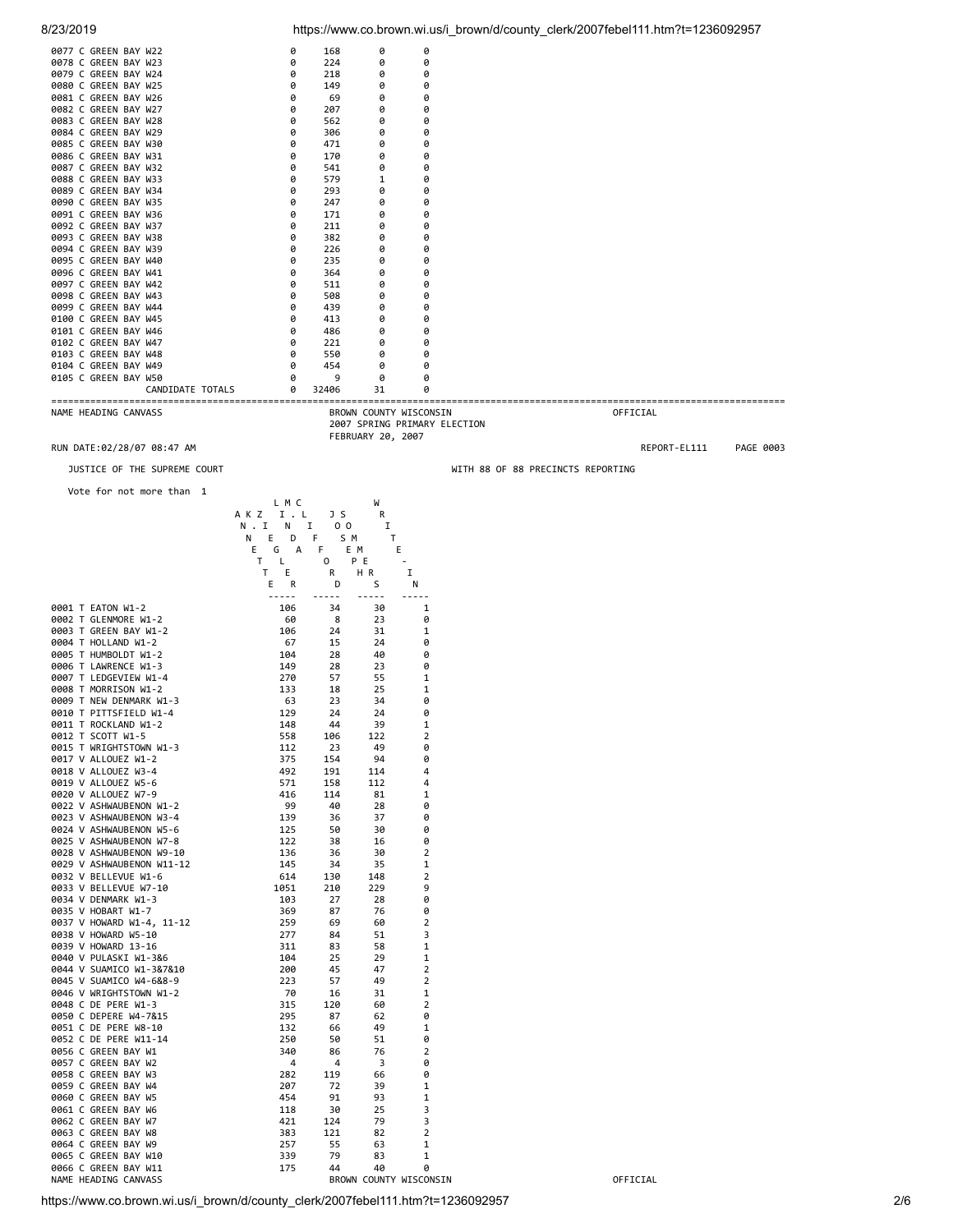| 0077 C GREEN BAY W22         | 0           | 168                            | 0                 | 0                            |                                   |              |           |
|------------------------------|-------------|--------------------------------|-------------------|------------------------------|-----------------------------------|--------------|-----------|
| 0078 C GREEN BAY W23         | 0           | 224                            | 0                 | 0                            |                                   |              |           |
| 0079 C GREEN BAY W24         | a           | 218                            | 0                 | 0                            |                                   |              |           |
| 0080 C GREEN BAY W25         | ø           | 149                            | 0                 | 0                            |                                   |              |           |
| 0081 C GREEN BAY W26         | ø           | 69                             | ø                 | 0                            |                                   |              |           |
| 0082 C GREEN BAY W27         | 0           | 207                            | 0                 | 0                            |                                   |              |           |
| 0083 C GREEN BAY W28         | 0           | 562                            | 0                 | Ø                            |                                   |              |           |
| 0084 C GREEN BAY W29         | 0           | 306                            | 0                 | 0                            |                                   |              |           |
| 0085 C GREEN BAY W30         | ø           | 471                            | 0                 | 0                            |                                   |              |           |
| 0086 C GREEN BAY W31         | 0           | 170                            | 0                 | 0                            |                                   |              |           |
| 0087 C GREEN BAY W32         | ø           | 541                            | 0                 | 0                            |                                   |              |           |
| 0088 C GREEN BAY W33         | ø           | 579                            | 1                 | 0                            |                                   |              |           |
| 0089 C GREEN BAY W34         | 0           | 293                            | 0                 | 0                            |                                   |              |           |
| 0090 C GREEN BAY W35         | ø           | 247                            | 0                 | 0                            |                                   |              |           |
| 0091 C GREEN BAY W36         | 0           | 171                            | 0                 | 0                            |                                   |              |           |
| 0092 C GREEN BAY W37         | 0           | 211                            | 0                 | 0                            |                                   |              |           |
| 0093 C GREEN BAY W38         | 0           | 382                            | 0                 | 0                            |                                   |              |           |
| 0094 C GREEN BAY W39         | 0           | 226                            | 0                 | 0                            |                                   |              |           |
| 0095 C GREEN BAY W40         | 0           | 235                            | 0                 | 0                            |                                   |              |           |
| 0096 C GREEN BAY W41         | ø           | 364                            | 0                 | 0                            |                                   |              |           |
| 0097 C GREEN BAY W42         | 0           | 511                            | 0                 | 0                            |                                   |              |           |
| 0098 C GREEN BAY W43         | ø           | 508                            | 0                 | 0                            |                                   |              |           |
| 0099 C GREEN BAY W44         | 0           | 439                            | 0                 | 0                            |                                   |              |           |
| 0100 C GREEN BAY W45         | 0           | 413                            | 0                 | 0                            |                                   |              |           |
| 0101 C GREEN BAY W46         | 0           | 486                            | 0                 | 0                            |                                   |              |           |
| 0102 C GREEN BAY W47         | 0           | 221                            | 0                 | 0                            |                                   |              |           |
| 0103 C GREEN BAY W48         | 0           | 550                            | 0                 | 0                            |                                   |              |           |
| 0104 C GREEN BAY W49         |             | 454                            | ø                 | 0                            |                                   |              |           |
| 0105 C GREEN BAY W50         |             | 9                              | ø                 | Ø                            |                                   |              |           |
| CANDIDATE TOTALS             |             | 32406                          | 31                |                              |                                   |              |           |
|                              |             |                                |                   |                              |                                   |              |           |
| NAME HEADING CANVASS         |             |                                |                   | BROWN COUNTY WISCONSIN       |                                   | OFFICIAL     |           |
|                              |             |                                |                   | 2007 SPRING PRIMARY ELECTION |                                   |              |           |
|                              |             |                                | FEBRUARY 20, 2007 |                              |                                   |              |           |
| RUN DATE:02/28/07 08:47 AM   |             |                                |                   |                              |                                   | REPORT-EL111 | PAGE 0003 |
| JUSTICE OF THE SUPREME COURT |             |                                |                   |                              | WITH 88 OF 88 PRECINCTS REPORTING |              |           |
| Vote for not more than 1     |             |                                |                   |                              |                                   |              |           |
|                              | L M C       |                                | W                 |                              |                                   |              |           |
|                              | AKZ I.L     | JS                             | R                 |                              |                                   |              |           |
|                              | N.I<br>N    | $\mathbf{I}$<br>0 <sub>0</sub> | I                 |                              |                                   |              |           |
|                              | E<br>N<br>D | S M<br>F                       | T                 |                              |                                   |              |           |

|                           | <br>G<br>А<br>E.                                                                                                                                                                                                                                                                                                                                                                             | -<br>F | E M                                                                                                                                                                                                                                                                                                                                                                                          | Е                      |
|---------------------------|----------------------------------------------------------------------------------------------------------------------------------------------------------------------------------------------------------------------------------------------------------------------------------------------------------------------------------------------------------------------------------------------|--------|----------------------------------------------------------------------------------------------------------------------------------------------------------------------------------------------------------------------------------------------------------------------------------------------------------------------------------------------------------------------------------------------|------------------------|
|                           | т<br>Г                                                                                                                                                                                                                                                                                                                                                                                       | 0      | P E                                                                                                                                                                                                                                                                                                                                                                                          |                        |
|                           | Τ<br>Ε                                                                                                                                                                                                                                                                                                                                                                                       | R      | HR                                                                                                                                                                                                                                                                                                                                                                                           | I                      |
|                           | Ε<br>R                                                                                                                                                                                                                                                                                                                                                                                       | D      | S                                                                                                                                                                                                                                                                                                                                                                                            | N                      |
|                           | $\frac{1}{2} \frac{1}{2} \frac{1}{2} \frac{1}{2} \frac{1}{2} \frac{1}{2} \frac{1}{2} \frac{1}{2} \frac{1}{2} \frac{1}{2} \frac{1}{2} \frac{1}{2} \frac{1}{2} \frac{1}{2} \frac{1}{2} \frac{1}{2} \frac{1}{2} \frac{1}{2} \frac{1}{2} \frac{1}{2} \frac{1}{2} \frac{1}{2} \frac{1}{2} \frac{1}{2} \frac{1}{2} \frac{1}{2} \frac{1}{2} \frac{1}{2} \frac{1}{2} \frac{1}{2} \frac{1}{2} \frac{$ | -----  | $\frac{1}{2} \frac{1}{2} \frac{1}{2} \frac{1}{2} \frac{1}{2} \frac{1}{2} \frac{1}{2} \frac{1}{2} \frac{1}{2} \frac{1}{2} \frac{1}{2} \frac{1}{2} \frac{1}{2} \frac{1}{2} \frac{1}{2} \frac{1}{2} \frac{1}{2} \frac{1}{2} \frac{1}{2} \frac{1}{2} \frac{1}{2} \frac{1}{2} \frac{1}{2} \frac{1}{2} \frac{1}{2} \frac{1}{2} \frac{1}{2} \frac{1}{2} \frac{1}{2} \frac{1}{2} \frac{1}{2} \frac{$ | -----                  |
| 0001 T EATON W1-2         | 106                                                                                                                                                                                                                                                                                                                                                                                          | 34     | 30                                                                                                                                                                                                                                                                                                                                                                                           | $\mathbf 1$            |
| 0002 T GLENMORE W1-2      | 60                                                                                                                                                                                                                                                                                                                                                                                           | 8      | 23                                                                                                                                                                                                                                                                                                                                                                                           | 0                      |
| 0003 T GREEN BAY W1-2     | 106                                                                                                                                                                                                                                                                                                                                                                                          | 24     | 31                                                                                                                                                                                                                                                                                                                                                                                           | 1                      |
| 0004 T HOLLAND W1-2       | 67                                                                                                                                                                                                                                                                                                                                                                                           | 15     | 24                                                                                                                                                                                                                                                                                                                                                                                           | 0                      |
| 0005 T HUMBOLDT W1-2      | 104                                                                                                                                                                                                                                                                                                                                                                                          | 28     | 40                                                                                                                                                                                                                                                                                                                                                                                           | 0                      |
| 0006 T LAWRENCE W1-3      | 149                                                                                                                                                                                                                                                                                                                                                                                          | 28     | 23                                                                                                                                                                                                                                                                                                                                                                                           | 0                      |
| 0007 T LEDGEVIEW W1-4     | 270                                                                                                                                                                                                                                                                                                                                                                                          | 57     | 55                                                                                                                                                                                                                                                                                                                                                                                           | 1                      |
| 0008 T MORRISON W1-2      | 133                                                                                                                                                                                                                                                                                                                                                                                          | 18     | 25                                                                                                                                                                                                                                                                                                                                                                                           | 1                      |
| 0009 T NEW DENMARK W1-3   | 63                                                                                                                                                                                                                                                                                                                                                                                           | 23     | 34                                                                                                                                                                                                                                                                                                                                                                                           | 0                      |
| 0010 T PITTSFIELD W1-4    | 129                                                                                                                                                                                                                                                                                                                                                                                          | 24     | 24                                                                                                                                                                                                                                                                                                                                                                                           | 0                      |
| 0011 T ROCKLAND W1-2      | 148                                                                                                                                                                                                                                                                                                                                                                                          | 44     | 39                                                                                                                                                                                                                                                                                                                                                                                           | 1                      |
| 0012 T SCOTT W1-5         | 558                                                                                                                                                                                                                                                                                                                                                                                          | 106    | 122                                                                                                                                                                                                                                                                                                                                                                                          | 2                      |
| 0015 T WRIGHTSTOWN W1-3   | 112                                                                                                                                                                                                                                                                                                                                                                                          | 23     | 49                                                                                                                                                                                                                                                                                                                                                                                           | 0                      |
| 0017 V ALLOUEZ W1-2       | 375                                                                                                                                                                                                                                                                                                                                                                                          | 154    | 94                                                                                                                                                                                                                                                                                                                                                                                           | 0                      |
| 0018 V ALLOUEZ W3-4       | 492                                                                                                                                                                                                                                                                                                                                                                                          | 191    | 114                                                                                                                                                                                                                                                                                                                                                                                          | 4                      |
|                           |                                                                                                                                                                                                                                                                                                                                                                                              |        |                                                                                                                                                                                                                                                                                                                                                                                              |                        |
| 0019 V ALLOUEZ W5-6       | 571                                                                                                                                                                                                                                                                                                                                                                                          | 158    | 112                                                                                                                                                                                                                                                                                                                                                                                          | 4                      |
| 0020 V ALLOUEZ W7-9       | 416                                                                                                                                                                                                                                                                                                                                                                                          | 114    | 81                                                                                                                                                                                                                                                                                                                                                                                           | 1                      |
| 0022 V ASHWAUBENON W1-2   | 99                                                                                                                                                                                                                                                                                                                                                                                           | 40     | 28                                                                                                                                                                                                                                                                                                                                                                                           | 0                      |
| 0023 V ASHWAUBENON W3-4   | 139                                                                                                                                                                                                                                                                                                                                                                                          | 36     | 37                                                                                                                                                                                                                                                                                                                                                                                           | 0                      |
| 0024 V ASHWAUBENON W5-6   | 125                                                                                                                                                                                                                                                                                                                                                                                          | 50     | 30                                                                                                                                                                                                                                                                                                                                                                                           | 0                      |
| 0025 V ASHWAUBENON W7-8   | 122                                                                                                                                                                                                                                                                                                                                                                                          | 38     | 16                                                                                                                                                                                                                                                                                                                                                                                           | 0                      |
| 0028 V ASHWAUBENON W9-10  | 136                                                                                                                                                                                                                                                                                                                                                                                          | 36     | 30                                                                                                                                                                                                                                                                                                                                                                                           | 2                      |
| 0029 V ASHWAUBENON W11-12 | 145                                                                                                                                                                                                                                                                                                                                                                                          | 34     | 35                                                                                                                                                                                                                                                                                                                                                                                           | 1                      |
| 0032 V BELLEVUE W1-6      | 614                                                                                                                                                                                                                                                                                                                                                                                          | 130    | 148                                                                                                                                                                                                                                                                                                                                                                                          | $\overline{2}$         |
| 0033 V BELLEVUE W7-10     | 1051                                                                                                                                                                                                                                                                                                                                                                                         | 210    | 229                                                                                                                                                                                                                                                                                                                                                                                          | 9                      |
| 0034 V DENMARK W1-3       | 103                                                                                                                                                                                                                                                                                                                                                                                          | 27     | 28                                                                                                                                                                                                                                                                                                                                                                                           | 0                      |
| 0035 V HOBART W1-7        | 369                                                                                                                                                                                                                                                                                                                                                                                          | 87     | 76                                                                                                                                                                                                                                                                                                                                                                                           | 0                      |
| 0037 V HOWARD W1-4, 11-12 | 259                                                                                                                                                                                                                                                                                                                                                                                          | 69     | 60                                                                                                                                                                                                                                                                                                                                                                                           | 2                      |
| 0038 V HOWARD W5-10       | 277                                                                                                                                                                                                                                                                                                                                                                                          | 84     | 51                                                                                                                                                                                                                                                                                                                                                                                           | 3                      |
| 0039 V HOWARD 13-16       | 311                                                                                                                                                                                                                                                                                                                                                                                          | 83     | 58                                                                                                                                                                                                                                                                                                                                                                                           | 1                      |
| 0040 V PULASKI W1-3&6     | 104                                                                                                                                                                                                                                                                                                                                                                                          | 25     | 29                                                                                                                                                                                                                                                                                                                                                                                           | 1                      |
|                           |                                                                                                                                                                                                                                                                                                                                                                                              |        |                                                                                                                                                                                                                                                                                                                                                                                              | 2                      |
| 0044 V SUAMICO W1-3&7&10  | 200                                                                                                                                                                                                                                                                                                                                                                                          | 45     | 47                                                                                                                                                                                                                                                                                                                                                                                           |                        |
| 0045 V SUAMICO W4-6&8-9   | 223                                                                                                                                                                                                                                                                                                                                                                                          | 57     | 49                                                                                                                                                                                                                                                                                                                                                                                           | 2                      |
| 0046 V WRIGHTSTOWN W1-2   | 70                                                                                                                                                                                                                                                                                                                                                                                           | 16     | 31                                                                                                                                                                                                                                                                                                                                                                                           | 1                      |
| 0048 C DE PERE W1-3       | 315                                                                                                                                                                                                                                                                                                                                                                                          | 120    | 60                                                                                                                                                                                                                                                                                                                                                                                           | $\overline{2}$         |
| 0050 C DEPERE W4-7&15     | 295                                                                                                                                                                                                                                                                                                                                                                                          | 87     | 62                                                                                                                                                                                                                                                                                                                                                                                           | 0                      |
| 0051 C DE PERE W8-10      | 132                                                                                                                                                                                                                                                                                                                                                                                          | 66     | 49                                                                                                                                                                                                                                                                                                                                                                                           | 1                      |
| 0052 C DE PERE W11-14     | 250                                                                                                                                                                                                                                                                                                                                                                                          | 50     | 51                                                                                                                                                                                                                                                                                                                                                                                           | 0                      |
| 0056 C GREEN BAY W1       | 340                                                                                                                                                                                                                                                                                                                                                                                          | 86     | 76                                                                                                                                                                                                                                                                                                                                                                                           | 2                      |
| 0057 C GREEN BAY W2       | 4                                                                                                                                                                                                                                                                                                                                                                                            | 4      | 3                                                                                                                                                                                                                                                                                                                                                                                            | 0                      |
| 0058 C GREEN BAY W3       | 282                                                                                                                                                                                                                                                                                                                                                                                          | 119    | 66                                                                                                                                                                                                                                                                                                                                                                                           | 0                      |
| 0059 C GREEN BAY W4       | 207                                                                                                                                                                                                                                                                                                                                                                                          | 72     | 39                                                                                                                                                                                                                                                                                                                                                                                           | 1                      |
| 0060 C GREEN BAY W5       | 454                                                                                                                                                                                                                                                                                                                                                                                          | 91     | 93                                                                                                                                                                                                                                                                                                                                                                                           | 1                      |
| 0061 C GREEN BAY W6       | 118                                                                                                                                                                                                                                                                                                                                                                                          | 30     | 25                                                                                                                                                                                                                                                                                                                                                                                           | 3                      |
| 0062 C GREEN BAY W7       | 421                                                                                                                                                                                                                                                                                                                                                                                          | 124    | 79                                                                                                                                                                                                                                                                                                                                                                                           |                        |
|                           |                                                                                                                                                                                                                                                                                                                                                                                              |        |                                                                                                                                                                                                                                                                                                                                                                                              | 3                      |
| 0063 C GREEN BAY W8       | 383                                                                                                                                                                                                                                                                                                                                                                                          | 121    | 82                                                                                                                                                                                                                                                                                                                                                                                           | 2                      |
| 0064 C GREEN BAY W9       | 257                                                                                                                                                                                                                                                                                                                                                                                          | 55     | 63                                                                                                                                                                                                                                                                                                                                                                                           | 1                      |
| 0065 C GREEN BAY W10      | 339                                                                                                                                                                                                                                                                                                                                                                                          | 79     | 83                                                                                                                                                                                                                                                                                                                                                                                           | 1                      |
| 0066 C GREEN BAY W11      | 175                                                                                                                                                                                                                                                                                                                                                                                          | 44     | 40                                                                                                                                                                                                                                                                                                                                                                                           | 0                      |
| NAME HEADING CANVASS      |                                                                                                                                                                                                                                                                                                                                                                                              |        |                                                                                                                                                                                                                                                                                                                                                                                              | BROWN COUNTY WISCONSIN |
|                           |                                                                                                                                                                                                                                                                                                                                                                                              |        |                                                                                                                                                                                                                                                                                                                                                                                              |                        |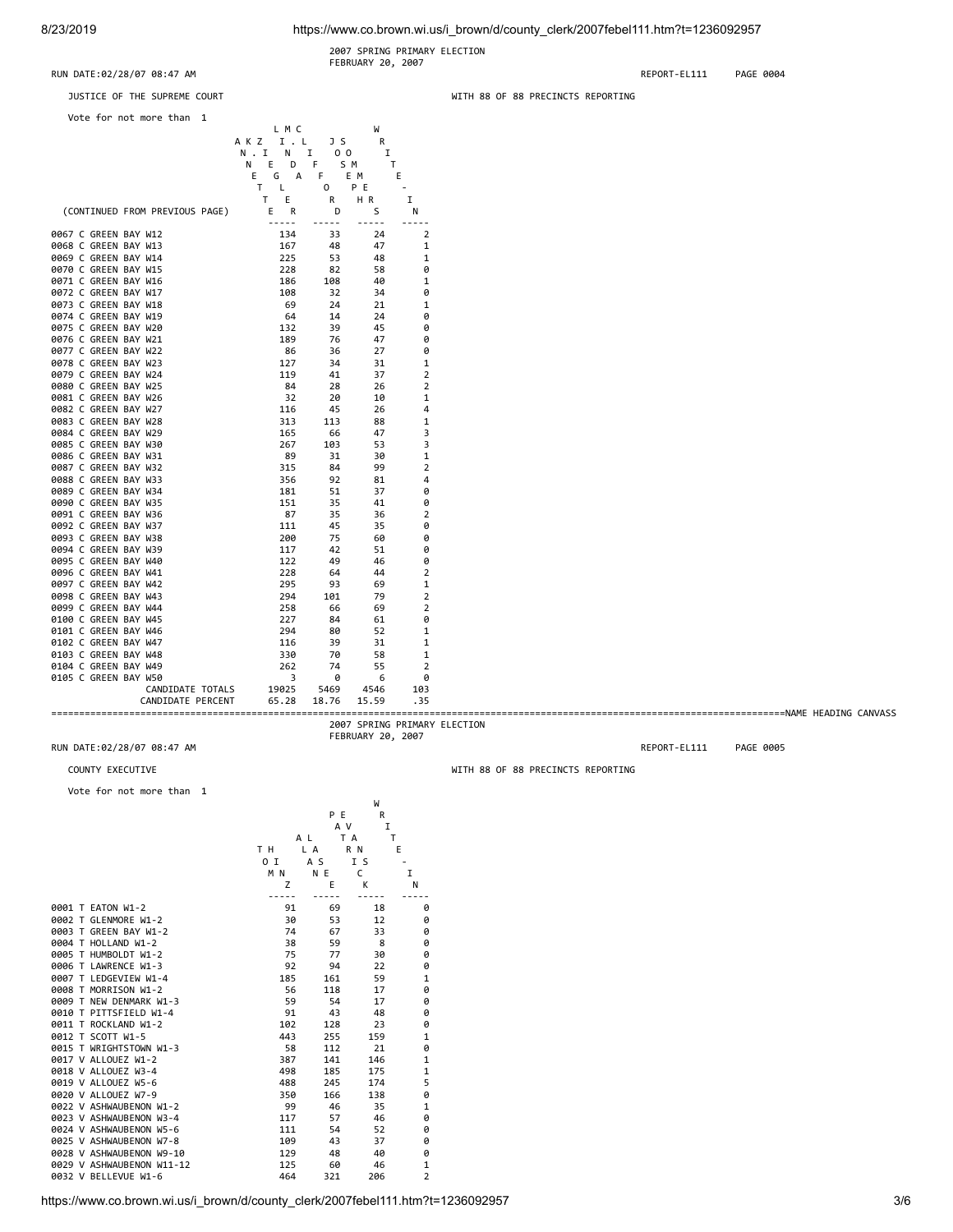8/23/2019 https://www.co.brown.wi.us/i\_brown/d/county\_clerk/2007febel111.htm?t=1236092957

 2007 SPRING PRIMARY ELECTION FEBRUARY 20, 2007

FEBRUARY 20, 2007

RUN DATE:02/28/07 08:47 AM REPORT-EL111 PAGE 0004

| JUSTICE OF THE SUPREME COURT                 |              |                |                              |                     | WITH 88 OF 88 PRECINCTS REPORTING |
|----------------------------------------------|--------------|----------------|------------------------------|---------------------|-----------------------------------|
| Vote for not more than 1                     |              |                |                              |                     |                                   |
|                                              | L M C        |                | W                            |                     |                                   |
|                                              | AKZ I.L      | JS             | R                            |                     |                                   |
|                                              | N.I N I      | 0 <sub>0</sub> | I                            |                     |                                   |
|                                              | N E D F      | S M            | T                            |                     |                                   |
|                                              | G A F<br>Е.  |                | E M                          | Ε                   |                                   |
|                                              | T L          | $\circ$        | P E                          | $\sim$              |                                   |
|                                              | T E          | R              | HR.                          | Ι.                  |                                   |
| (CONTINUED FROM PREVIOUS PAGE)               | E R<br>----- | D<br>-----     | S<br>$- - - - -$             | N<br>$- - - - -$    |                                   |
| 0067 C GREEN BAY W12                         | 134          | 33             | 24                           | $\overline{2}$      |                                   |
| 0068 C GREEN BAY W13                         | 167          | 48             | 47                           | 1                   |                                   |
| 0069 C GREEN BAY W14                         | 225          | 53             | 48                           | 1                   |                                   |
| 0070 C GREEN BAY W15                         | 228          | 82             | 58                           | 0                   |                                   |
| 0071 C GREEN BAY W16                         | 186          | 108            | 40                           | 1                   |                                   |
| 0072 C GREEN BAY W17                         | 108          | 32             | 34                           | 0                   |                                   |
| 0073 C GREEN BAY W18                         | - 69         | 24             | 21                           | 1                   |                                   |
| 0074 C GREEN BAY W19                         | 64           | 14             | 24                           | 0                   |                                   |
| 0075 C GREEN BAY W20                         | 132          | 39             | 45                           | 0                   |                                   |
| 0076 C GREEN BAY W21                         | 189          | 76             | 47                           | 0                   |                                   |
| 0077 C GREEN BAY W22                         | 86           | 36             | 27                           | 0                   |                                   |
| 0078 C GREEN BAY W23                         | 127          | 34             | 31                           | 1                   |                                   |
| 0079 C GREEN BAY W24                         | 119          | 41             | 37                           | 2                   |                                   |
| 0080 C GREEN BAY W25                         | - 84         | 28             | 26                           | 2                   |                                   |
| 0081 C GREEN BAY W26                         | 32           | 20             | 10                           | 1                   |                                   |
| 0082 C GREEN BAY W27                         | 116          | 45             | 26                           | 4                   |                                   |
| 0083 C GREEN BAY W28                         | 313          | 113            | 88                           | 1                   |                                   |
| 0084 C GREEN BAY W29                         | 165          | 66             | 47                           | 3                   |                                   |
| 0085 C GREEN BAY W30                         | 267          | 103            | 53                           | 3                   |                                   |
| 0086 C GREEN BAY W31                         | 89           | 31             | 30                           | 1                   |                                   |
| 0087 C GREEN BAY W32                         | 315          | 84             | 99                           | $\overline{2}$      |                                   |
| 0088 C GREEN BAY W33                         | 356          | 92             | 81<br>37                     | 4                   |                                   |
| 0089 C GREEN BAY W34                         | 181          | 51             |                              | 0                   |                                   |
| 0090 C GREEN BAY W35<br>0091 C GREEN BAY W36 | 151<br>87    | 35<br>35       | 41<br>36                     | 0<br>$\overline{2}$ |                                   |
| 0092 C GREEN BAY W37                         | 111          | 45             | 35                           | 0                   |                                   |
| 0093 C GREEN BAY W38                         | 200          | 75             | 60                           | 0                   |                                   |
| 0094 C GREEN BAY W39                         | 117          | 42             | 51                           | 0                   |                                   |
| 0095 C GREEN BAY W40                         | 122          | 49             | 46                           | 0                   |                                   |
| 0096 C GREEN BAY W41                         | 228          | 64             | 44                           | $\overline{2}$      |                                   |
| 0097 C GREEN BAY W42                         | 295          | 93             | 69                           | 1                   |                                   |
| 0098 C GREEN BAY W43                         | 294          | 101            | 79                           | $\overline{2}$      |                                   |
| 0099 C GREEN BAY W44                         | 258          | 66             | 69                           | $\overline{2}$      |                                   |
| 0100 C GREEN BAY W45                         | 227          | 84             | 61                           | 0                   |                                   |
| 0101 C GREEN BAY W46                         | 294          | 80             | 52                           | 1                   |                                   |
| 0102 C GREEN BAY W47                         | 116          | 39             | 31                           | 1                   |                                   |
| 0103 C GREEN BAY W48                         | 330          | 70             | 58                           | 1                   |                                   |
| 0104 C GREEN BAY W49                         | 262          | 74             | 55                           | $\overline{2}$      |                                   |
| 0105 C GREEN BAY W50                         | 3            | 0              | 6                            | 0                   |                                   |
| CANDIDATE TOTALS                             | 19025        | 5469           | 4546                         | 103                 |                                   |
| CANDIDATE PERCENT                            | 65.28        | 18.76          | 15.59                        | .35                 |                                   |
|                                              |              |                |                              |                     |                                   |
|                                              |              |                | 2007 SPRING PRIMARY ELECTION |                     |                                   |

RUN DATE:02/28/07 08:47 AM REPORT-EL111 PAGE 0005

COUNTY EXECUTIVE WITH 88 OF 88 PRECINCTS REPORTING

Vote for not more than 1

|                           |     |     | W        |                |
|---------------------------|-----|-----|----------|----------------|
|                           |     | P E | R        |                |
|                           |     | A V | I        |                |
|                           |     | A L | T A<br>т |                |
|                           | T H | L A | R N      | E              |
|                           | 0 I | A S | I S      |                |
|                           | M N | N E | C        | I              |
|                           | Z   | E   | К        | N              |
|                           |     |     |          |                |
| 0001 T EATON W1-2         | 91  | 69  | 18       | 0              |
| 0002 T GLENMORE W1-2      | 30  | 53  | 12       | 0              |
| 0003 T GREEN BAY W1-2     | 74  | 67  | 33       | 0              |
| 0004 T HOLLAND W1-2       | 38  | 59  | 8        | 0              |
| 0005 T HUMBOLDT W1-2      | 75  | 77  | 30       | 0              |
| 0006 T LAWRENCE W1-3      | 92  | 94  | 22       | 0              |
| 0007 T LEDGEVIEW W1-4     | 185 | 161 | 59       | $\mathbf{1}$   |
| 0008 T MORRISON W1-2      | 56  | 118 | 17       | 0              |
| 0009 T NEW DENMARK W1-3   | 59  | 54  | 17       | 0              |
| 0010 T PITTSFIELD W1-4    | 91  | 43  | 48       | 0              |
| 0011 T ROCKLAND W1-2      | 102 | 128 | 23       | 0              |
| 0012 T SCOTT W1-5         | 443 | 255 | 159      | $\mathbf{1}$   |
| 0015 T WRIGHTSTOWN W1-3   | 58  | 112 | 21       | 0              |
| 0017 V ALLOUEZ W1-2       | 387 | 141 | 146      | $\mathbf{1}$   |
| 0018 V ALLOUEZ W3-4       | 498 | 185 | 175      | $\mathbf{1}$   |
| 0019 V ALLOUEZ W5-6       | 488 | 245 | 174      | 5              |
| 0020 V ALLOUEZ W7-9       | 350 | 166 | 138      | 0              |
| 0022 V ASHWAUBENON W1-2   | 99  | 46  | 35       | 1              |
| 0023 V ASHWAUBENON W3-4   | 117 | 57  | 46       | 0              |
| 0024 V ASHWAUBENON W5-6   | 111 | 54  | 52       | 0              |
| 0025 V ASHWAUBENON W7-8   | 109 | 43  | 37       | ø              |
| 0028 V ASHWAUBENON W9-10  | 129 | 48  | 40       | 0              |
| 0029 V ASHWAUBENON W11-12 | 125 | 60  | 46       | 1              |
| 0032 V BELLEVUE W1-6      | 464 | 321 | 206      | $\overline{2}$ |
|                           |     |     |          |                |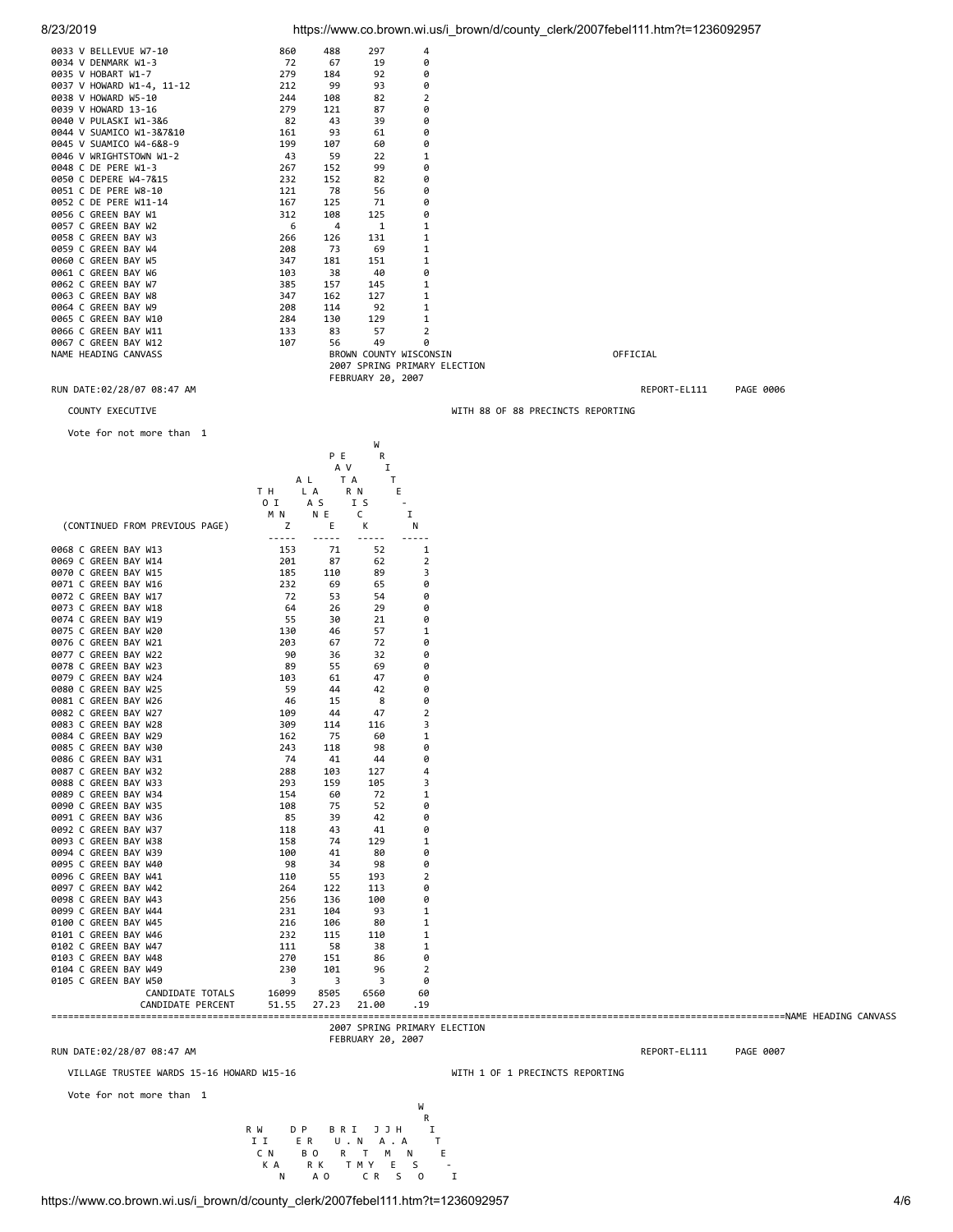|                                           |                |               |                   | $\frac{1}{2}$ The state with second control country with $\frac{1}{2}$ of the second country in the second countries of $\frac{1}{2}$ |                                   |  |
|-------------------------------------------|----------------|---------------|-------------------|---------------------------------------------------------------------------------------------------------------------------------------|-----------------------------------|--|
| 0033 V BELLEVUE W7-10                     | 860            | 488           | 297               | 4                                                                                                                                     |                                   |  |
| 0034 V DENMARK W1-3                       | 72             | 67            | 19                | 0                                                                                                                                     |                                   |  |
| 0035 V HOBART W1-7                        | 279            | 184           | 92                | 0                                                                                                                                     |                                   |  |
| 0037 V HOWARD W1-4, 11-12                 | 212            | 99            | 93                | 0                                                                                                                                     |                                   |  |
| 0038 V HOWARD W5-10                       | 244            | 108           | 82                | $\overline{2}$                                                                                                                        |                                   |  |
| 0039 V HOWARD 13-16                       | 279            | 121           | 87                | 0                                                                                                                                     |                                   |  |
| 0040 V PULASKI W1-3&6                     | 82             | 43            | 39                | 0                                                                                                                                     |                                   |  |
| 0044 V SUAMICO W1-3&7&10                  | 161            | 93            | 61                | 0                                                                                                                                     |                                   |  |
| 0045 V SUAMICO W4-6&8-9                   | 199            | 107           | 60                | 0                                                                                                                                     |                                   |  |
| 0046 V WRIGHTSTOWN W1-2                   | 43             | 59            | 22                | 1                                                                                                                                     |                                   |  |
| 0048 C DE PERE W1-3                       | 267            | 152           | 99                | 0                                                                                                                                     |                                   |  |
| 0050 C DEPERE W4-7&15                     | 232            | 152           | 82                | 0                                                                                                                                     |                                   |  |
| 0051 C DE PERE W8-10                      | 121            | 78            | 56                | 0                                                                                                                                     |                                   |  |
|                                           | 167            | 125           | 71                |                                                                                                                                       |                                   |  |
| 0052 C DE PERE W11-14                     |                |               |                   | 0                                                                                                                                     |                                   |  |
| 0056 C GREEN BAY W1                       | 312            | 108           | 125               | 0                                                                                                                                     |                                   |  |
| 0057 C GREEN BAY W2                       | 6              | 4             | 1                 | 1                                                                                                                                     |                                   |  |
| 0058 C GREEN BAY W3                       | 266            | 126           | 131               | 1                                                                                                                                     |                                   |  |
| 0059 C GREEN BAY W4                       | 208            | 73            | 69                | 1                                                                                                                                     |                                   |  |
| 0060 C GREEN BAY W5                       | 347            | 181           | 151               | 1                                                                                                                                     |                                   |  |
| 0061 C GREEN BAY W6                       | 103            | 38            | 40                | 0                                                                                                                                     |                                   |  |
| 0062 C GREEN BAY W7                       | 385            | 157           | 145               | 1                                                                                                                                     |                                   |  |
| 0063 C GREEN BAY W8                       | 347            | 162           | 127               | 1                                                                                                                                     |                                   |  |
| 0064 C GREEN BAY W9                       | 208            | 114           | 92                | 1                                                                                                                                     |                                   |  |
| 0065 C GREEN BAY W10                      | 284            | 130           | 129               | 1                                                                                                                                     |                                   |  |
| 0066 C GREEN BAY W11                      | 133            | 83            | 57                | $\overline{2}$                                                                                                                        |                                   |  |
| 0067 C GREEN BAY W12                      | 107            | 56            | 49                | 0                                                                                                                                     |                                   |  |
| NAME HEADING CANVASS                      |                |               |                   | BROWN COUNTY WISCONSIN                                                                                                                | OFFICIAL                          |  |
|                                           |                |               |                   | 2007 SPRING PRIMARY ELECTION                                                                                                          |                                   |  |
|                                           |                |               | FEBRUARY 20, 2007 |                                                                                                                                       |                                   |  |
| RUN DATE:02/28/07 08:47 AM                |                |               |                   |                                                                                                                                       | REPORT-EL111<br>PAGE 0006         |  |
| COUNTY EXECUTIVE                          |                |               |                   |                                                                                                                                       | WITH 88 OF 88 PRECINCTS REPORTING |  |
|                                           |                |               |                   |                                                                                                                                       |                                   |  |
| Vote for not more than 1                  |                |               |                   |                                                                                                                                       |                                   |  |
|                                           |                |               | W                 |                                                                                                                                       |                                   |  |
|                                           |                | P E           | R                 |                                                                                                                                       |                                   |  |
|                                           |                | A V           | 1                 |                                                                                                                                       |                                   |  |
|                                           | A L            | T A           | Τ                 |                                                                                                                                       |                                   |  |
|                                           | T H            | L A           | R N               | Ε                                                                                                                                     |                                   |  |
|                                           | 0 I            | A S           | I S               | $\overline{\phantom{a}}$                                                                                                              |                                   |  |
|                                           | M N            | N E           | C                 | I                                                                                                                                     |                                   |  |
| (CONTINUED FROM PREVIOUS PAGE)            | z              | Ε             | к                 | N                                                                                                                                     |                                   |  |
|                                           | -----          | $- - - - -$   |                   | -----                                                                                                                                 |                                   |  |
| 0068 C GREEN BAY W13                      | 153            | 71            | 52                | 1                                                                                                                                     |                                   |  |
| 0069 C GREEN BAY W14                      | 201            | 87            | 62                | 2                                                                                                                                     |                                   |  |
| 0070 C GREEN BAY W15                      | 185            | 110           | 89                | 3                                                                                                                                     |                                   |  |
| 0071 C GREEN BAY W16                      | 232            | 69            | 65                | 0                                                                                                                                     |                                   |  |
| 0072 C GREEN BAY W17                      | 72             | 53            | 54                | 0                                                                                                                                     |                                   |  |
| 0073 C GREEN BAY W18                      | 64             | 26            | 29                | 0                                                                                                                                     |                                   |  |
|                                           |                | 30            | 21                | 0                                                                                                                                     |                                   |  |
| 0074 C GREEN BAY W19                      | 55             |               |                   |                                                                                                                                       |                                   |  |
| 0075 C GREEN BAY W20                      | 130            | 46            | 57                | 1                                                                                                                                     |                                   |  |
| 0076 C GREEN BAY W21                      | 203            | 67            | 72                | 0                                                                                                                                     |                                   |  |
| 0077 C GREEN BAY W22                      | 90             | 36            | 32                | 0                                                                                                                                     |                                   |  |
| 0078 C GREEN BAY W23                      | 89             | 55            | 69                | 0                                                                                                                                     |                                   |  |
| 0079 C GREEN BAY W24                      | 103            | 61            | 47                | 0                                                                                                                                     |                                   |  |
| 0080 C GREEN BAY W25                      | 59             | 44            | 42                | 0                                                                                                                                     |                                   |  |
| 0081 C GREEN BAY W26                      | 46             | 15            | 8                 | 0                                                                                                                                     |                                   |  |
| 0082 C GREEN BAY W27                      | 109            | 44            | 47                | $\overline{2}$                                                                                                                        |                                   |  |
| 0083 C GREEN BAY W28                      | 309            | 114           | 116               | 3                                                                                                                                     |                                   |  |
| 0084 C GREEN BAY W29                      | 162            | 75            | 60                | 1                                                                                                                                     |                                   |  |
| 0085 C GREEN BAY W30                      | 243            | 118           | 98                | 0                                                                                                                                     |                                   |  |
| 0086 C GREEN BAY W31                      | 74             | 41            | 44                | 0                                                                                                                                     |                                   |  |
| 0087 C GREEN BAY W32                      | 288            | 103           | 127               | 4                                                                                                                                     |                                   |  |
| 0088 C GREEN BAY W33                      | 293            | 159           | 105               | 3                                                                                                                                     |                                   |  |
| 0089 C GREEN BAY W34                      | 154            | 60            | 72                | 1                                                                                                                                     |                                   |  |
| 0090 C GREEN BAY W35                      | 108            | 75            | 52                | 0                                                                                                                                     |                                   |  |
| 0091 C GREEN BAY W36                      | 85             | 39            | 42                | 0                                                                                                                                     |                                   |  |
| 0092 C GREEN BAY W37                      | 118            | 43            | 41                | 0                                                                                                                                     |                                   |  |
| 0093 C GREEN BAY W38                      | 158            | 74            | 129               | 1                                                                                                                                     |                                   |  |
| 0094 C GREEN BAY W39                      | 100            | 41            | 80                | 0                                                                                                                                     |                                   |  |
| 0095 C GREEN BAY W40                      | 98             | 34            | 98                | 0                                                                                                                                     |                                   |  |
| 0096 C GREEN BAY W41                      | 110            | 55            | 193               | 2                                                                                                                                     |                                   |  |
| 0097 C GREEN BAY W42                      | 264            | 122           | 113               | 0                                                                                                                                     |                                   |  |
| 0098 C GREEN BAY W43                      | 256            | 136           | 100               | 0                                                                                                                                     |                                   |  |
| 0099 C GREEN BAY W44                      | 231            | 104           | 93                | 1                                                                                                                                     |                                   |  |
| 0100 C GREEN BAY W45                      | 216            | 106           | 80                | 1                                                                                                                                     |                                   |  |
| 0101 C GREEN BAY W46                      | 232            | 115           | 110               | 1                                                                                                                                     |                                   |  |
| 0102 C GREEN BAY W47                      | 111            | 58            | 38                | 1                                                                                                                                     |                                   |  |
| 0103 C GREEN BAY W48                      | 270            | 151           | 86                | 0                                                                                                                                     |                                   |  |
| 0104 C GREEN BAY W49                      | 230            | 101           | 96                | 2                                                                                                                                     |                                   |  |
| 0105 C GREEN BAY W50                      | 3              | 3             | 3                 | 0                                                                                                                                     |                                   |  |
| CANDIDATE TOTALS<br>CANDIDATE PERCENT     | 16099<br>51.55 | 8505<br>27.23 | 6560<br>21.00     | 60<br>. 19                                                                                                                            |                                   |  |
|                                           |                |               |                   |                                                                                                                                       |                                   |  |
|                                           |                |               |                   | 2007 SPRING PRIMARY ELECTION                                                                                                          |                                   |  |
|                                           |                |               | FEBRUARY 20, 2007 |                                                                                                                                       |                                   |  |
| RUN DATE:02/28/07 08:47 AM                |                |               |                   |                                                                                                                                       | REPORT-EL111<br>PAGE 0007         |  |
|                                           |                |               |                   |                                                                                                                                       |                                   |  |
| VILLAGE TRUSTEE WARDS 15-16 HOWARD W15-16 |                |               |                   |                                                                                                                                       | WITH 1 OF 1 PRECINCTS REPORTING   |  |

W<br>
R<br>
II ER U.N A.A<br>
CN BORTMN<br>
KA RK TMYES<br>
N AOCRSO<br>
WHATMYES<br>
N AOCRSO R W DP BRIJJH R<br>II ER U.N A.A T<br>CN BORTMN E<br>KARK TMYES<br>N AO CR SO I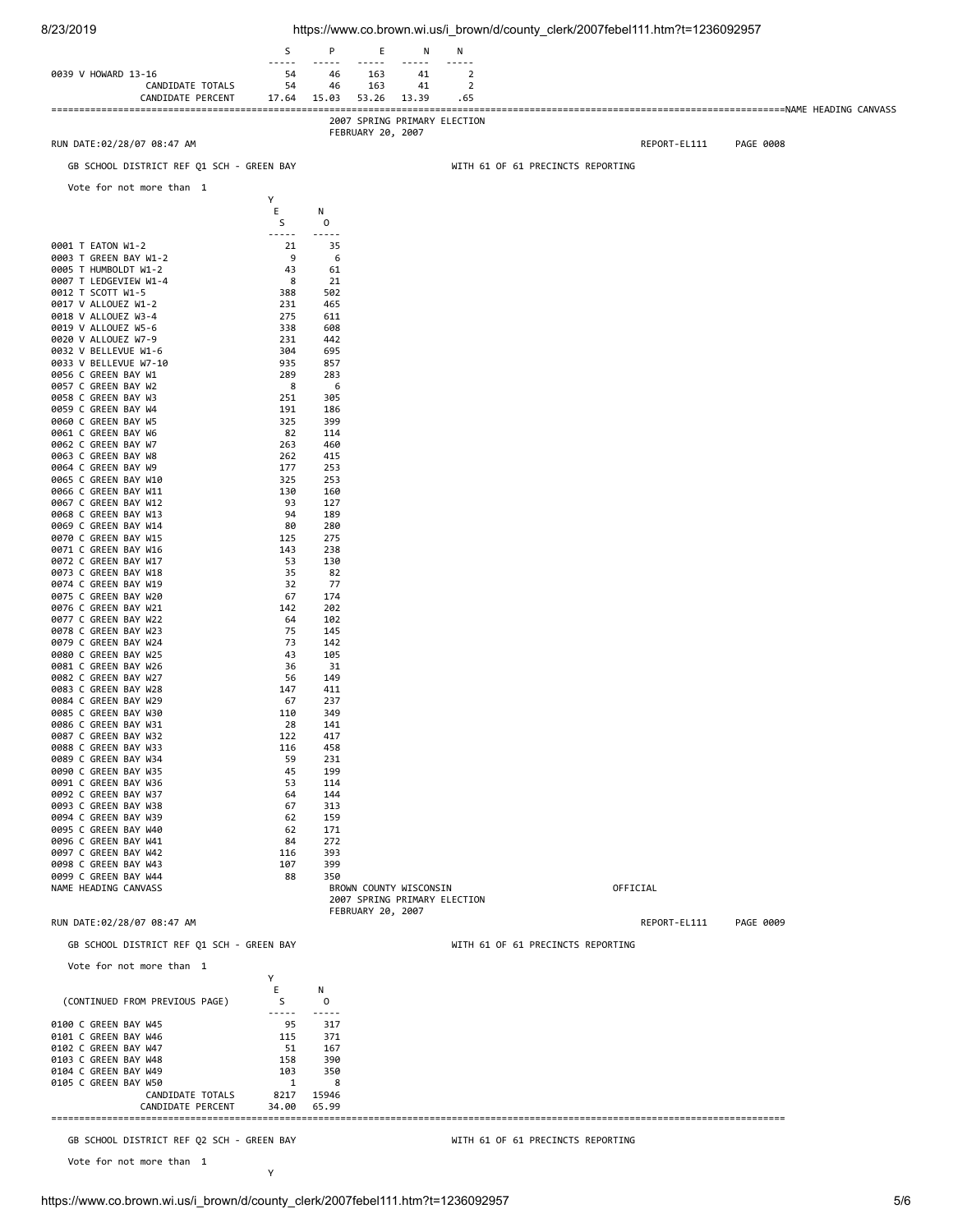| 8/23/2019                                     |                  |                      |                        |            |                               | https://www.co.brown.wi.us/i_brown/d/county_clerk/2007febel111.htm?t=1236092957 |  |
|-----------------------------------------------|------------------|----------------------|------------------------|------------|-------------------------------|---------------------------------------------------------------------------------|--|
|                                               | S                | Ρ                    | Ε                      | N          | N                             |                                                                                 |  |
| 0039 V HOWARD 13-16                           | 54               | $- - - - -$<br>46    | -----<br>163           | $ -$<br>41 | $- - - - -$<br>$\overline{2}$ |                                                                                 |  |
| CANDIDATE TOTALS                              | 54               | 46                   | 163                    | 41         | 2                             |                                                                                 |  |
| CANDIDATE PERCENT                             | 17.64            | 15.03                | 53.26                  | 13.39      | .65                           |                                                                                 |  |
|                                               |                  |                      |                        |            | 2007 SPRING PRIMARY ELECTION  |                                                                                 |  |
| RUN DATE:02/28/07 08:47 AM                    |                  |                      | FEBRUARY 20, 2007      |            |                               | REPORT-EL111<br>PAGE 0008                                                       |  |
| GB SCHOOL DISTRICT REF Q1 SCH - GREEN BAY     |                  |                      |                        |            |                               | WITH 61 OF 61 PRECINCTS REPORTING                                               |  |
|                                               |                  |                      |                        |            |                               |                                                                                 |  |
| Vote for not more than 1                      | Υ                |                      |                        |            |                               |                                                                                 |  |
|                                               | Ε                | N                    |                        |            |                               |                                                                                 |  |
|                                               | S<br>$- - - - -$ | 0<br>-----           |                        |            |                               |                                                                                 |  |
| 0001 T EATON W1-2                             | 21               | 35                   |                        |            |                               |                                                                                 |  |
| 0003 T GREEN BAY W1-2<br>0005 T HUMBOLDT W1-2 | 9<br>43          | 6<br>61              |                        |            |                               |                                                                                 |  |
| 0007 T LEDGEVIEW W1-4                         | 8                | 21                   |                        |            |                               |                                                                                 |  |
| 0012 T SCOTT W1-5<br>0017 V ALLOUEZ W1-2      | 388<br>231       | 502<br>465           |                        |            |                               |                                                                                 |  |
| 0018 V ALLOUEZ W3-4                           | 275              | 611                  |                        |            |                               |                                                                                 |  |
| 0019 V ALLOUEZ W5-6<br>0020 V ALLOUEZ W7-9    | 338<br>231       | 608<br>442           |                        |            |                               |                                                                                 |  |
| 0032 V BELLEVUE W1-6                          | 304              | 695                  |                        |            |                               |                                                                                 |  |
| 0033 V BELLEVUE W7-10<br>0056 C GREEN BAY W1  | 935<br>289       | 857<br>283           |                        |            |                               |                                                                                 |  |
| 0057 C GREEN BAY W2                           | 8                | 6                    |                        |            |                               |                                                                                 |  |
| 0058 C GREEN BAY W3<br>0059 C GREEN BAY W4    | 251<br>191       | 305<br>186           |                        |            |                               |                                                                                 |  |
| 0060 C GREEN BAY W5                           | 325              | 399                  |                        |            |                               |                                                                                 |  |
| 0061 C GREEN BAY W6<br>0062 C GREEN BAY W7    | 82               | 114                  |                        |            |                               |                                                                                 |  |
| 0063 C GREEN BAY W8                           | 263<br>262       | 460<br>415           |                        |            |                               |                                                                                 |  |
| 0064 C GREEN BAY W9                           | 177              | 253                  |                        |            |                               |                                                                                 |  |
| 0065 C GREEN BAY W10<br>0066 C GREEN BAY W11  | 325<br>130       | 253<br>160           |                        |            |                               |                                                                                 |  |
| 0067 C GREEN BAY W12                          | 93               | 127                  |                        |            |                               |                                                                                 |  |
| 0068 C GREEN BAY W13<br>0069 C GREEN BAY W14  | 94<br>80         | 189<br>280           |                        |            |                               |                                                                                 |  |
| 0070 C GREEN BAY W15                          | 125              | 275                  |                        |            |                               |                                                                                 |  |
| 0071 C GREEN BAY W16<br>0072 C GREEN BAY W17  | 143<br>53        | 238<br>130           |                        |            |                               |                                                                                 |  |
| 0073 C GREEN BAY W18                          | 35               | 82                   |                        |            |                               |                                                                                 |  |
| 0074 C GREEN BAY W19<br>0075 C GREEN BAY W20  | 32<br>67         | 77<br>174            |                        |            |                               |                                                                                 |  |
| 0076 C GREEN BAY W21                          | 142              | 202                  |                        |            |                               |                                                                                 |  |
| 0077 C GREEN BAY W22<br>0078 C GREEN BAY W23  | 64<br>75         | 102<br>145           |                        |            |                               |                                                                                 |  |
| 0079 C GREEN BAY W24                          | 73               | 142                  |                        |            |                               |                                                                                 |  |
| 0080 C GREEN BAY W25<br>0081 C GREEN BAY W26  | 43<br>36         | 105<br>31            |                        |            |                               |                                                                                 |  |
| 0082 C GREEN BAY W27                          | 56               | 149                  |                        |            |                               |                                                                                 |  |
| 0083 C GREEN BAY W28<br>0084 C GREEN BAY W29  | 147<br>67        | 411<br>237           |                        |            |                               |                                                                                 |  |
| 0085 C GREEN BAY W30                          | 110              | 349                  |                        |            |                               |                                                                                 |  |
| 0086 C GREEN BAY W31<br>0087 C GREEN BAY W32  | 28<br>122        | 141<br>417           |                        |            |                               |                                                                                 |  |
| 0088 C GREEN BAY W33                          | 116              | 458                  |                        |            |                               |                                                                                 |  |
| 0089 C GREEN BAY W34                          | 59<br>45         | 231<br>199           |                        |            |                               |                                                                                 |  |
| 0090 C GREEN BAY W35<br>0091 C GREEN BAY W36  | 53               | 114                  |                        |            |                               |                                                                                 |  |
| 0092 C GREEN BAY W37                          | 64               | 144                  |                        |            |                               |                                                                                 |  |
| 0093 C GREEN BAY W38<br>0094 C GREEN BAY W39  | 67<br>62         | 313<br>159           |                        |            |                               |                                                                                 |  |
| 0095 C GREEN BAY W40                          | 62               | 171                  |                        |            |                               |                                                                                 |  |
| 0096 C GREEN BAY W41<br>0097 C GREEN BAY W42  | 84<br>116        | 272<br>393           |                        |            |                               |                                                                                 |  |
| 0098 C GREEN BAY W43                          | 107              | 399                  |                        |            |                               |                                                                                 |  |
| 0099 C GREEN BAY W44<br>NAME HEADING CANVASS  | 88               | 350                  | BROWN COUNTY WISCONSIN |            |                               | OFFICIAL                                                                        |  |
|                                               |                  |                      |                        |            | 2007 SPRING PRIMARY ELECTION  |                                                                                 |  |
| RUN DATE:02/28/07 08:47 AM                    |                  |                      | FEBRUARY 20, 2007      |            |                               | REPORT-EL111<br>PAGE 0009                                                       |  |
|                                               |                  |                      |                        |            |                               |                                                                                 |  |
| GB SCHOOL DISTRICT REF Q1 SCH - GREEN BAY     |                  |                      |                        |            |                               | WITH 61 OF 61 PRECINCTS REPORTING                                               |  |
| Vote for not more than 1                      |                  |                      |                        |            |                               |                                                                                 |  |
|                                               | Y<br>Е           | N                    |                        |            |                               |                                                                                 |  |
| (CONTINUED FROM PREVIOUS PAGE)                | S                | 0                    |                        |            |                               |                                                                                 |  |
| 0100 C GREEN BAY W45                          | 95               | $- - - - - -$<br>317 |                        |            |                               |                                                                                 |  |
| 0101 C GREEN BAY W46                          | 115              | 371                  |                        |            |                               |                                                                                 |  |
| 0102 C GREEN BAY W47                          | -51              | 167                  |                        |            |                               |                                                                                 |  |
| 0103 C GREEN BAY W48<br>0104 C GREEN BAY W49  | 158<br>103       | 390<br>350           |                        |            |                               |                                                                                 |  |
| 0105 C GREEN BAY W50                          | 1                | 8                    |                        |            |                               |                                                                                 |  |
| CANDIDATE TOTALS<br>CANDIDATE PERCENT         | 8217<br>34.00    | 15946<br>65.99       |                        |            |                               |                                                                                 |  |
|                                               |                  |                      |                        |            |                               |                                                                                 |  |
| GB SCHOOL DISTRICT REF Q2 SCH - GREEN BAY     |                  |                      |                        |            |                               | WITH 61 OF 61 PRECINCTS REPORTING                                               |  |
|                                               |                  |                      |                        |            |                               |                                                                                 |  |
| Vote for not more than 1                      | Υ                |                      |                        |            |                               |                                                                                 |  |